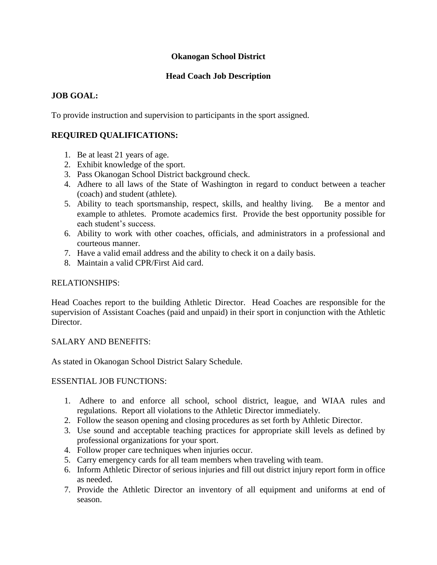### **Okanogan School District**

### **Head Coach Job Description**

## **JOB GOAL:**

To provide instruction and supervision to participants in the sport assigned.

# **REQUIRED QUALIFICATIONS:**

- 1. Be at least 21 years of age.
- 2. Exhibit knowledge of the sport.
- 3. Pass Okanogan School District background check.
- 4. Adhere to all laws of the State of Washington in regard to conduct between a teacher (coach) and student (athlete).
- 5. Ability to teach sportsmanship, respect, skills, and healthy living. Be a mentor and example to athletes. Promote academics first. Provide the best opportunity possible for each student's success.
- 6. Ability to work with other coaches, officials, and administrators in a professional and courteous manner.
- 7. Have a valid email address and the ability to check it on a daily basis.
- 8. Maintain a valid CPR/First Aid card.

### RELATIONSHIPS:

Head Coaches report to the building Athletic Director. Head Coaches are responsible for the supervision of Assistant Coaches (paid and unpaid) in their sport in conjunction with the Athletic Director.

### SALARY AND BENEFITS:

As stated in Okanogan School District Salary Schedule.

### ESSENTIAL JOB FUNCTIONS:

- 1. Adhere to and enforce all school, school district, league, and WIAA rules and regulations. Report all violations to the Athletic Director immediately.
- 2. Follow the season opening and closing procedures as set forth by Athletic Director.
- 3. Use sound and acceptable teaching practices for appropriate skill levels as defined by professional organizations for your sport.
- 4. Follow proper care techniques when injuries occur.
- 5. Carry emergency cards for all team members when traveling with team.
- 6. Inform Athletic Director of serious injuries and fill out district injury report form in office as needed.
- 7. Provide the Athletic Director an inventory of all equipment and uniforms at end of season.